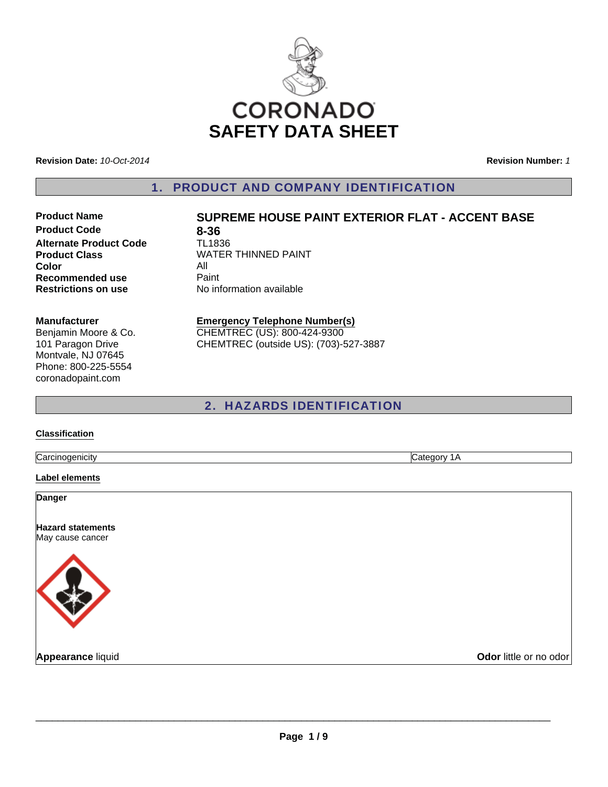

**Revision Date:** *10-Oct-2014*

**Revision Number:** *1*

1. PRODUCT AND COMPANY IDENTIFICATION

**Product Code 8-36**<br> **Alternate Product Code 1L1836 Alternate Product Code Color** All **Recommended use Paint Restrictions on use** No information available

### **Product Name SUPREME HOUSE PAINT EXTERIOR FLAT - ACCENT BASE**

**Product Class WATER THINNED PAINT** 

#### **Manufacturer**

Benjamin Moore & Co. 101 Paragon Drive Montvale, NJ 07645 Phone: 800-225-5554 coronadopaint.com

#### **Emergency Telephone Number(s)** CHEMTREC (US): 800-424-9300

CHEMTREC (outside US): (703)-527-3887

### 2. HAZARDS IDENTIFICATION

#### **Classification**

Carcinogenicity Category 1A

**Label elements**

**Danger**

**Hazard statements** May cause cancer



**Appearance** liquid **COVID-100 COVID-100 COVID-100 COVID-100 COVID-100 COVID-100 COVID-100 COVID-100 COVID-100 COVID-100 COVID-100 COVID-100 COVID-100 COVID-100 COVID-100 COVID-100 COVID-100 COVID-100 COVID-100 COVID-100 C**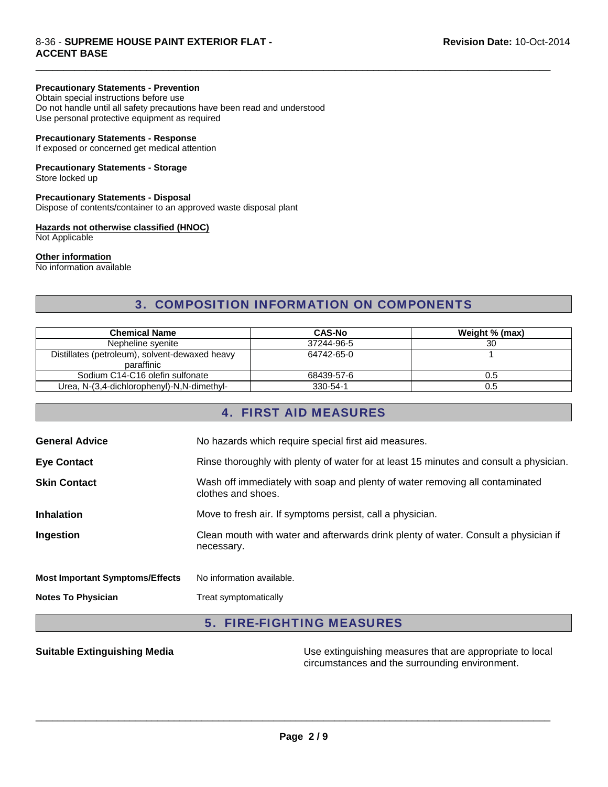#### **Precautionary Statements - Prevention**

Obtain special instructions before use Do not handle until all safety precautions have been read and understood Use personal protective equipment as required

#### **Precautionary Statements - Response**

If exposed or concerned get medical attention

### **Precautionary Statements - Storage**

Store locked up

#### **Precautionary Statements - Disposal**

Dispose of contents/container to an approved waste disposal plant

#### **Hazards not otherwise classified (HNOC)**

Not Applicable

#### **Other information**

No information available

### 3. COMPOSITION INFORMATION ON COMPONENTS

 $\Box$ 

| <b>Chemical Name</b>                                         | <b>CAS-No</b> | Weight % (max) |
|--------------------------------------------------------------|---------------|----------------|
| Nepheline syenite                                            | 37244-96-5    | 30             |
| Distillates (petroleum), solvent-dewaxed heavy<br>paraffinic | 64742-65-0    |                |
| Sodium C14-C16 olefin sulfonate                              | 68439-57-6    | 0.5            |
| Urea, N-(3,4-dichlorophenyl)-N,N-dimethyl-                   | 330-54-1      | 0.5            |

### 4. FIRST AID MEASURES

| <b>Notes To Physician</b>              | Treat symptomatically                                                                              |
|----------------------------------------|----------------------------------------------------------------------------------------------------|
| <b>Most Important Symptoms/Effects</b> | No information available.                                                                          |
| Ingestion                              | Clean mouth with water and afterwards drink plenty of water. Consult a physician if<br>necessary.  |
| <b>Inhalation</b>                      | Move to fresh air. If symptoms persist, call a physician.                                          |
| <b>Skin Contact</b>                    | Wash off immediately with soap and plenty of water removing all contaminated<br>clothes and shoes. |
| <b>Eye Contact</b>                     | Rinse thoroughly with plenty of water for at least 15 minutes and consult a physician.             |
| <b>General Advice</b>                  | No hazards which require special first aid measures.                                               |

#### 5. FIRE-FIGHTING MEASURES

**Suitable Extinguishing Media** Media Use extinguishing measures that are appropriate to local circumstances and the surrounding environment.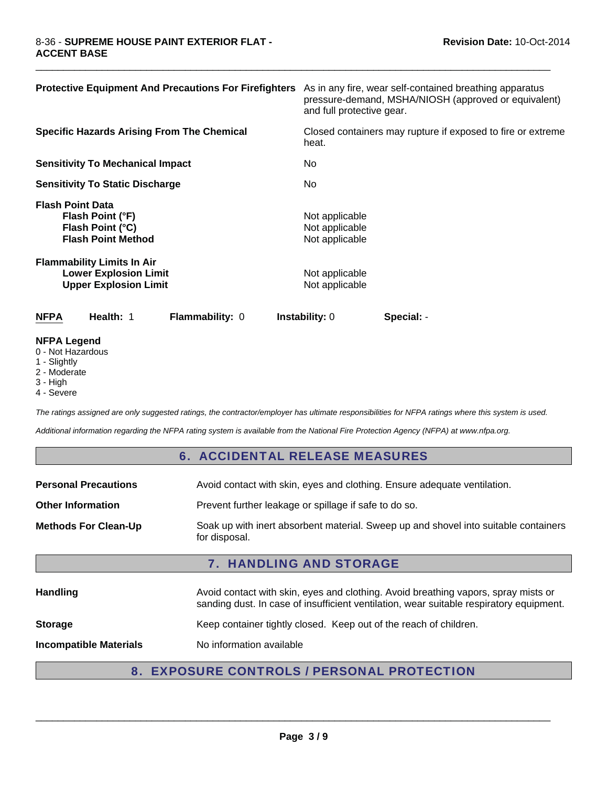| <b>Protective Equipment And Precautions For Firefighters</b>                                      | As in any fire, wear self-contained breathing apparatus<br>pressure-demand, MSHA/NIOSH (approved or equivalent)<br>and full protective gear. |
|---------------------------------------------------------------------------------------------------|----------------------------------------------------------------------------------------------------------------------------------------------|
| <b>Specific Hazards Arising From The Chemical</b>                                                 | Closed containers may rupture if exposed to fire or extreme<br>heat.                                                                         |
| <b>Sensitivity To Mechanical Impact</b>                                                           | No.                                                                                                                                          |
| <b>Sensitivity To Static Discharge</b>                                                            | No.                                                                                                                                          |
| <b>Flash Point Data</b><br>Flash Point (°F)<br>Flash Point (°C)<br><b>Flash Point Method</b>      | Not applicable<br>Not applicable<br>Not applicable                                                                                           |
| <b>Flammability Limits In Air</b><br><b>Lower Explosion Limit</b><br><b>Upper Explosion Limit</b> | Not applicable<br>Not applicable                                                                                                             |
| <b>NFPA</b><br>Health: 1<br>Flammability: 0                                                       | <b>Instability: 0</b><br>Special: -                                                                                                          |
| NEDA Logand                                                                                       |                                                                                                                                              |

 $\Box$ 

- **NFPA Legend** 0 - Not Hazardous
- 1 Slightly
- 2 Moderate
- 3 High
- 4 Severe

*The ratings assigned are only suggested ratings, the contractor/employer has ultimate responsibilities for NFPA ratings where this system is used.*

*Additional information regarding the NFPA rating system is available from the National Fire Protection Agency (NFPA) at www.nfpa.org.*

#### 6. ACCIDENTAL RELEASE MEASURES

| <b>Personal Precautions</b>    | Avoid contact with skin, eyes and clothing. Ensure adequate ventilation.                                                                                                      |  |
|--------------------------------|-------------------------------------------------------------------------------------------------------------------------------------------------------------------------------|--|
| <b>Other Information</b>       | Prevent further leakage or spillage if safe to do so.                                                                                                                         |  |
| <b>Methods For Clean-Up</b>    | Soak up with inert absorbent material. Sweep up and shovel into suitable containers<br>for disposal.                                                                          |  |
| <b>7. HANDLING AND STORAGE</b> |                                                                                                                                                                               |  |
|                                |                                                                                                                                                                               |  |
| Handling                       | Avoid contact with skin, eyes and clothing. Avoid breathing vapors, spray mists or<br>sanding dust. In case of insufficient ventilation, wear suitable respiratory equipment. |  |
| <b>Storage</b>                 | Keep container tightly closed. Keep out of the reach of children.                                                                                                             |  |

### 8. EXPOSURE CONTROLS / PERSONAL PROTECTION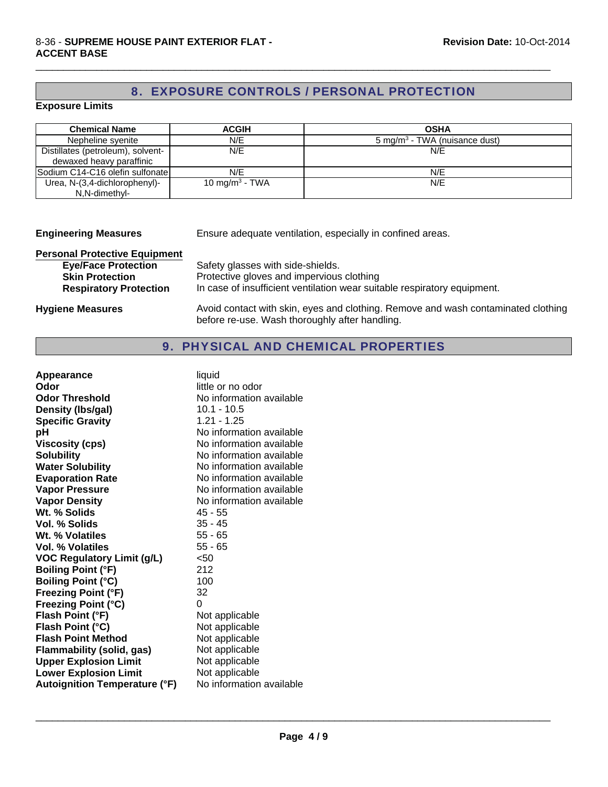## 8. EXPOSURE CONTROLS / PERSONAL PROTECTION

 $\Box$ 

#### **Exposure Limits**

| <b>Chemical Name</b>              | <b>ACGIH</b>               | <b>OSHA</b>                               |
|-----------------------------------|----------------------------|-------------------------------------------|
| Nepheline syenite                 | N/E                        | 5 mg/m <sup>3</sup> - TWA (nuisance dust) |
| Distillates (petroleum), solvent- | N/E                        | N/E                                       |
| dewaxed heavy paraffinic          |                            |                                           |
| Sodium C14-C16 olefin sulfonate   | N/E                        | N/E                                       |
| Urea, N-(3,4-dichlorophenyl)-     | 10 mg/m <sup>3</sup> - TWA | N/E                                       |
| N,N-dimethyl-                     |                            |                                           |

| <b>Engineering Measures</b>          | Ensure adequate ventilation, especially in confined areas.                                                                          |  |
|--------------------------------------|-------------------------------------------------------------------------------------------------------------------------------------|--|
| <b>Personal Protective Equipment</b> |                                                                                                                                     |  |
| <b>Eye/Face Protection</b>           | Safety glasses with side-shields.                                                                                                   |  |
| <b>Skin Protection</b>               | Protective gloves and impervious clothing                                                                                           |  |
| <b>Respiratory Protection</b>        | In case of insufficient ventilation wear suitable respiratory equipment.                                                            |  |
| <b>Hygiene Measures</b>              | Avoid contact with skin, eyes and clothing. Remove and wash contaminated clothing<br>before re-use. Wash thoroughly after handling. |  |

## 9. PHYSICAL AND CHEMICAL PROPERTIES

| Appearance                           | liquid                   |
|--------------------------------------|--------------------------|
| Odor                                 | little or no odor        |
| <b>Odor Threshold</b>                | No information available |
| Density (Ibs/gal)                    | 10.1 - 10.5              |
| <b>Specific Gravity</b>              | $1.21 - 1.25$            |
| рH                                   | No information available |
| <b>Viscosity (cps)</b>               | No information available |
| <b>Solubility</b>                    | No information available |
| <b>Water Solubility</b>              | No information available |
| <b>Evaporation Rate</b>              | No information available |
| <b>Vapor Pressure</b>                | No information available |
| <b>Vapor Density</b>                 | No information available |
| Wt. % Solids                         | 45 - 55                  |
| Vol. % Solids                        | $35 - 45$                |
| Wt. % Volatiles                      | $55 - 65$                |
| Vol. % Volatiles                     | $55 - 65$                |
| <b>VOC Regulatory Limit (g/L)</b>    | < 50                     |
| <b>Boiling Point (°F)</b>            | 212                      |
| <b>Boiling Point (°C)</b>            | 100                      |
| <b>Freezing Point (°F)</b>           | 32                       |
| <b>Freezing Point (°C)</b>           | 0                        |
| Flash Point (°F)                     | Not applicable           |
| Flash Point (°C)                     | Not applicable           |
| <b>Flash Point Method</b>            | Not applicable           |
| Flammability (solid, gas)            | Not applicable           |
| <b>Upper Explosion Limit</b>         | Not applicable           |
| <b>Lower Explosion Limit</b>         | Not applicable           |
| <b>Autoignition Temperature (°F)</b> | No information available |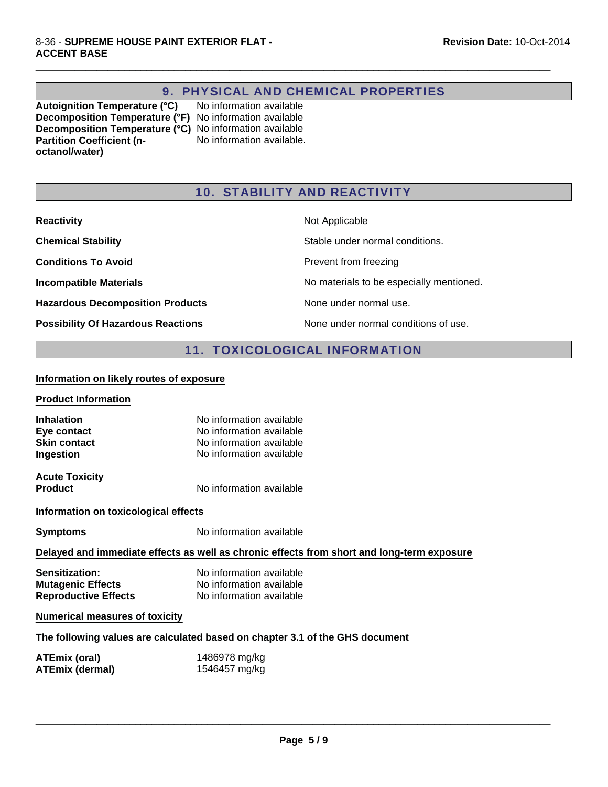### 9. PHYSICAL AND CHEMICAL PROPERTIES

 $\Box$ 

**Autoignition Temperature (°C)** No information available **Decomposition Temperature (°F)** No information available **Decomposition Temperature (°C)** No information available **Partition Coefficient (noctanol/water)** No information available.

### 10. STABILITY AND REACTIVITY

| <b>Reactivity</b>                         | Not Applicable                           |
|-------------------------------------------|------------------------------------------|
| <b>Chemical Stability</b>                 | Stable under normal conditions.          |
| <b>Conditions To Avoid</b>                | Prevent from freezing                    |
| <b>Incompatible Materials</b>             | No materials to be especially mentioned. |
| <b>Hazardous Decomposition Products</b>   | None under normal use.                   |
| <b>Possibility Of Hazardous Reactions</b> | None under normal conditions of use.     |

### 11. TOXICOLOGICAL INFORMATION

#### **Information on likely routes of exposure**

#### **Product Information**

| No information available |
|--------------------------|
| No information available |
| No information available |
| No information available |
|                          |

**Acute Toxicity**

**Product** No information available

#### **Information on toxicological effects**

**Symptoms** No information available

### **Delayed and immediate effects as well as chronic effects from short and long-term exposure**

| <b>Sensitization:</b>       | No information available |
|-----------------------------|--------------------------|
| <b>Mutagenic Effects</b>    | No information available |
| <b>Reproductive Effects</b> | No information available |

#### **Numerical measures of toxicity**

**The following values are calculated based on chapter 3.1 of the GHS document**

| ATEmix (oral)          | 1486978 mg/kg |
|------------------------|---------------|
| <b>ATEmix (dermal)</b> | 1546457 mg/kg |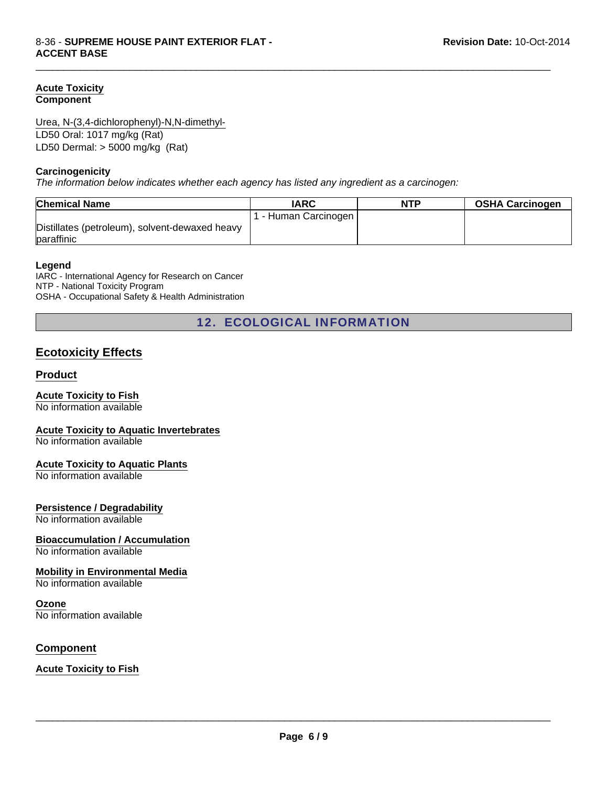#### **Acute Toxicity Component**

LD50 Oral: 1017 mg/kg (Rat) Urea, N-(3,4-dichlorophenyl)-N,N-dimethyl-

LD50 Dermal: > 5000 mg/kg (Rat)

#### **Carcinogenicity**

*The information below indicates whether each agency has listed any ingredient as a carcinogen:*

| <b>Chemical Name</b>                                         | <b>IARC</b>          | <b>NTP</b> | <b>OSHA Carcinogen</b> |
|--------------------------------------------------------------|----------------------|------------|------------------------|
|                                                              | 1 - Human Carcinogen |            |                        |
| Distillates (petroleum), solvent-dewaxed heavy<br>paraffinic |                      |            |                        |

 $\Box$ 

#### **Legend**

IARC - International Agency for Research on Cancer NTP - National Toxicity Program OSHA - Occupational Safety & Health Administration

12. ECOLOGICAL INFORMATION

### **Ecotoxicity Effects**

#### **Product**

#### **Acute Toxicity to Fish**

No information available

#### **Acute Toxicity to Aquatic Invertebrates**

No information available

#### **Acute Toxicity to Aquatic Plants**

No information available

#### **Persistence / Degradability**

No information available

#### **Bioaccumulation / Accumulation**

No information available

#### **Mobility in Environmental Media**

No information available

#### **Ozone**

No information available

#### **Component**

**Acute Toxicity to Fish**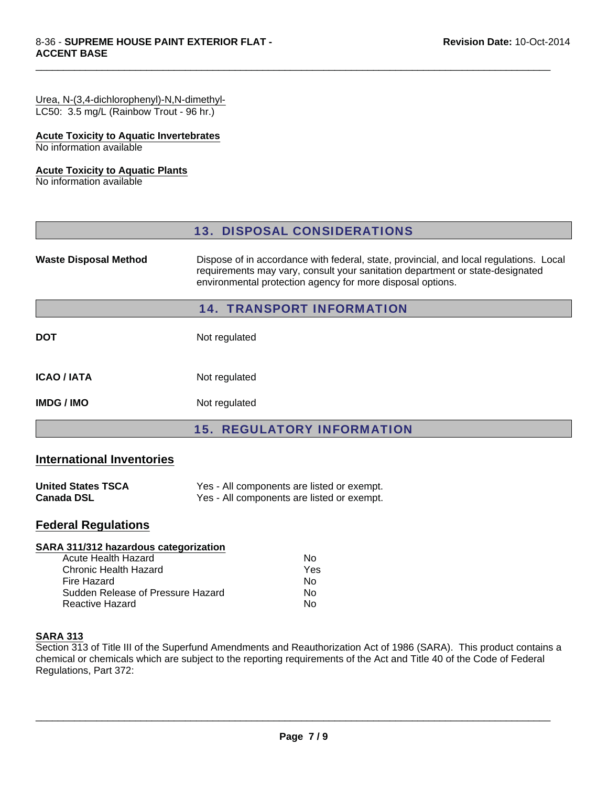# Urea, N-(3,4-dichlorophenyl)-N,N-dimethyl-

LC50: 3.5 mg/L (Rainbow Trout - 96 hr.)

### **Acute Toxicity to Aquatic Invertebrates**

No information available

### **Acute Toxicity to Aquatic Plants**

No information available

|                                  | <b>13. DISPOSAL CONSIDERATIONS</b>                                                                                                                                                                                                    |  |  |
|----------------------------------|---------------------------------------------------------------------------------------------------------------------------------------------------------------------------------------------------------------------------------------|--|--|
| <b>Waste Disposal Method</b>     | Dispose of in accordance with federal, state, provincial, and local regulations. Local<br>requirements may vary, consult your sanitation department or state-designated<br>environmental protection agency for more disposal options. |  |  |
| <b>14. TRANSPORT INFORMATION</b> |                                                                                                                                                                                                                                       |  |  |
| <b>DOT</b>                       | Not regulated                                                                                                                                                                                                                         |  |  |
| <b>ICAO / IATA</b>               | Not regulated                                                                                                                                                                                                                         |  |  |
| <b>IMDG/IMO</b>                  | Not regulated                                                                                                                                                                                                                         |  |  |
|                                  | <b>15. REGULATORY INFORMATI</b>                                                                                                                                                                                                       |  |  |

 $\Box$ 

### **International Inventories**

| <b>United States TSCA</b> | Yes - All components are listed or exempt. |
|---------------------------|--------------------------------------------|
| <b>Canada DSL</b>         | Yes - All components are listed or exempt. |

### **Federal Regulations**

### **SARA 311/312 hazardous categorization**

| Acute Health Hazard               | N٥  |
|-----------------------------------|-----|
| Chronic Health Hazard             | Yes |
| Fire Hazard                       | N٥  |
| Sudden Release of Pressure Hazard | N٥  |
| Reactive Hazard                   | N٥  |
|                                   |     |

### **SARA 313**

Section 313 of Title III of the Superfund Amendments and Reauthorization Act of 1986 (SARA). This product contains a chemical or chemicals which are subject to the reporting requirements of the Act and Title 40 of the Code of Federal Regulations, Part 372: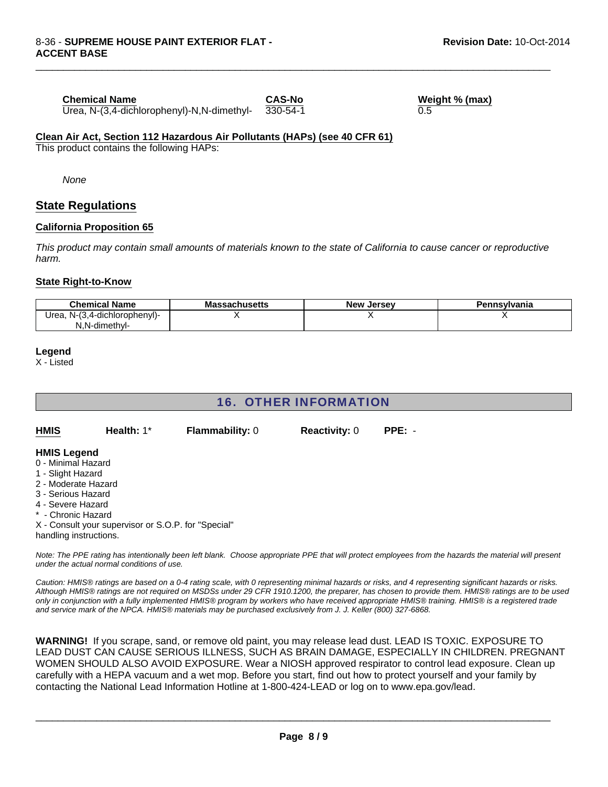#### **Chemical Name**

Urea, N-(3,4-dichlorophenyl)-N,N-dimethyl- 330-54-1

 $\Box$ 

**CAS-No Weight % (max)**  $\overline{0.5}$ 

#### **Clean Air Act, Section 112 Hazardous Air Pollutants (HAPs) (see 40 CFR 61)**

This product contains the following HAPs:

*None*

### **State Regulations**

#### **California Proposition 65**

*This product may contain small amounts of materials known to the state of California to cause cancer or reproductive harm.*

#### **State Right-to-Know**

| <b>Chemical Name</b>               | <b>Massachusetts</b> | <b>New Jersey</b> | Pennsylvania |
|------------------------------------|----------------------|-------------------|--------------|
| , N-(3,4-dichlorophenyl)-<br>Urea. |                      |                   |              |
| N.N-dimethyl-                      |                      |                   |              |

#### **Legend**

X - Listed

### 16. OTHER INFORMATION

| <b>HMIS</b>         | Health: 1*                                          | <b>Flammability: 0</b> | <b>Reactivity: 0</b> | $PPE: -$ |
|---------------------|-----------------------------------------------------|------------------------|----------------------|----------|
| <b>HMIS Legend</b>  |                                                     |                        |                      |          |
| 0 - Minimal Hazard  |                                                     |                        |                      |          |
| 1 - Slight Hazard   |                                                     |                        |                      |          |
| 2 - Moderate Hazard |                                                     |                        |                      |          |
| 3 - Serious Hazard  |                                                     |                        |                      |          |
| 4 - Severe Hazard   |                                                     |                        |                      |          |
| * - Chronic Hazard  |                                                     |                        |                      |          |
|                     | X - Consult your supervisor or S.O.P. for "Special" |                        |                      |          |

handling instructions.

*Note: The PPE rating has intentionally been left blank. Choose appropriate PPE that will protect employees from the hazards the material will present under the actual normal conditions of use.*

*Caution: HMIS® ratings are based on a 0-4 rating scale, with 0 representing minimal hazards or risks, and 4 representing significant hazards or risks. Although HMIS® ratings are not required on MSDSs under 29 CFR 1910.1200, the preparer, has chosen to provide them. HMIS® ratings are to be used only in conjunction with a fully implemented HMIS® program by workers who have received appropriate HMIS® training. HMIS® is a registered trade and service mark of the NPCA. HMIS® materials may be purchased exclusively from J. J. Keller (800) 327-6868.*

**WARNING!** If you scrape, sand, or remove old paint, you may release lead dust. LEAD IS TOXIC. EXPOSURE TO LEAD DUST CAN CAUSE SERIOUS ILLNESS, SUCH AS BRAIN DAMAGE, ESPECIALLY IN CHILDREN. PREGNANT WOMEN SHOULD ALSO AVOID EXPOSURE. Wear a NIOSH approved respirator to control lead exposure. Clean up carefully with a HEPA vacuum and a wet mop. Before you start, find out how to protect yourself and your family by contacting the National Lead Information Hotline at 1-800-424-LEAD or log on to www.epa.gov/lead.